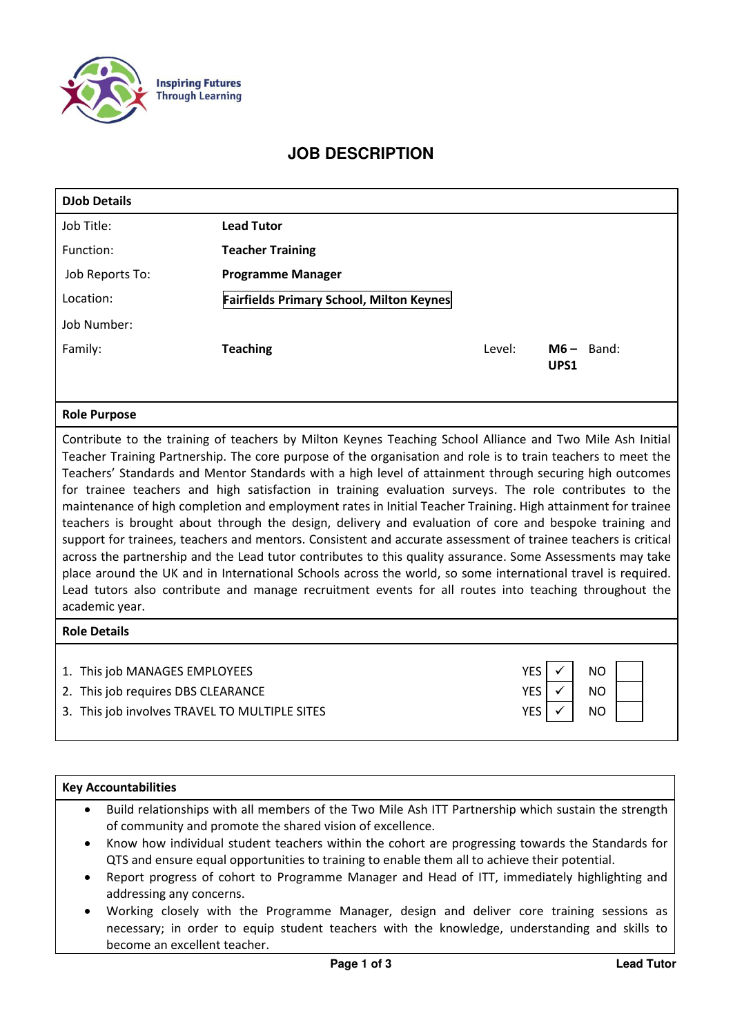

## **JOB DESCRIPTION**

| <b>DJob Details</b> |                                                                                                                                                                                                                                                                                                                                      |        |                      |
|---------------------|--------------------------------------------------------------------------------------------------------------------------------------------------------------------------------------------------------------------------------------------------------------------------------------------------------------------------------------|--------|----------------------|
| Job Title:          | <b>Lead Tutor</b>                                                                                                                                                                                                                                                                                                                    |        |                      |
| Function:           | <b>Teacher Training</b>                                                                                                                                                                                                                                                                                                              |        |                      |
| Job Reports To:     | <b>Programme Manager</b>                                                                                                                                                                                                                                                                                                             |        |                      |
| Location:           | <b>Fairfields Primary School, Milton Keynes</b>                                                                                                                                                                                                                                                                                      |        |                      |
| Job Number:         |                                                                                                                                                                                                                                                                                                                                      |        |                      |
| Family:             | <b>Teaching</b>                                                                                                                                                                                                                                                                                                                      | Level: | $M6 -$ Band:<br>UPS1 |
| <b>Role Purpose</b> |                                                                                                                                                                                                                                                                                                                                      |        |                      |
|                     | Contribute to the training of teachers by Milton Keynes Teaching School Alliance and Two Mile Ash Initial<br>Teacher Training Partnership. The core purpose of the organisation and role is to train teachers to meet the<br>Togchars' Standards and Montor Standards with a high lovel of attainment through securing high outcomes |        |                      |

Teachers' Standards and Mentor Standards with a high level of attainment through securing high outcomes for trainee teachers and high satisfaction in training evaluation surveys. The role contributes to the maintenance of high completion and employment rates in Initial Teacher Training. High attainment for trainee teachers is brought about through the design, delivery and evaluation of core and bespoke training and support for trainees, teachers and mentors. Consistent and accurate assessment of trainee teachers is critical across the partnership and the Lead tutor contributes to this quality assurance. Some Assessments may take place around the UK and in International Schools across the world, so some international travel is required. Lead tutors also contribute and manage recruitment events for all routes into teaching throughout the academic year.

## **Role Details**

| 1. This job MANAGES EMPLOYEES                 | <b>YES</b> | NO. |  |
|-----------------------------------------------|------------|-----|--|
| 2. This job requires DBS CLEARANCE            |            | NO. |  |
| 3. This job involves TRAVEL TO MULTIPLE SITES | YES        | NO. |  |

## **Key Accountabilities**

- Build relationships with all members of the Two Mile Ash ITT Partnership which sustain the strength of community and promote the shared vision of excellence.
- Know how individual student teachers within the cohort are progressing towards the Standards for QTS and ensure equal opportunities to training to enable them all to achieve their potential.
- Report progress of cohort to Programme Manager and Head of ITT, immediately highlighting and addressing any concerns.
- Working closely with the Programme Manager, design and deliver core training sessions as necessary; in order to equip student teachers with the knowledge, understanding and skills to become an excellent teacher.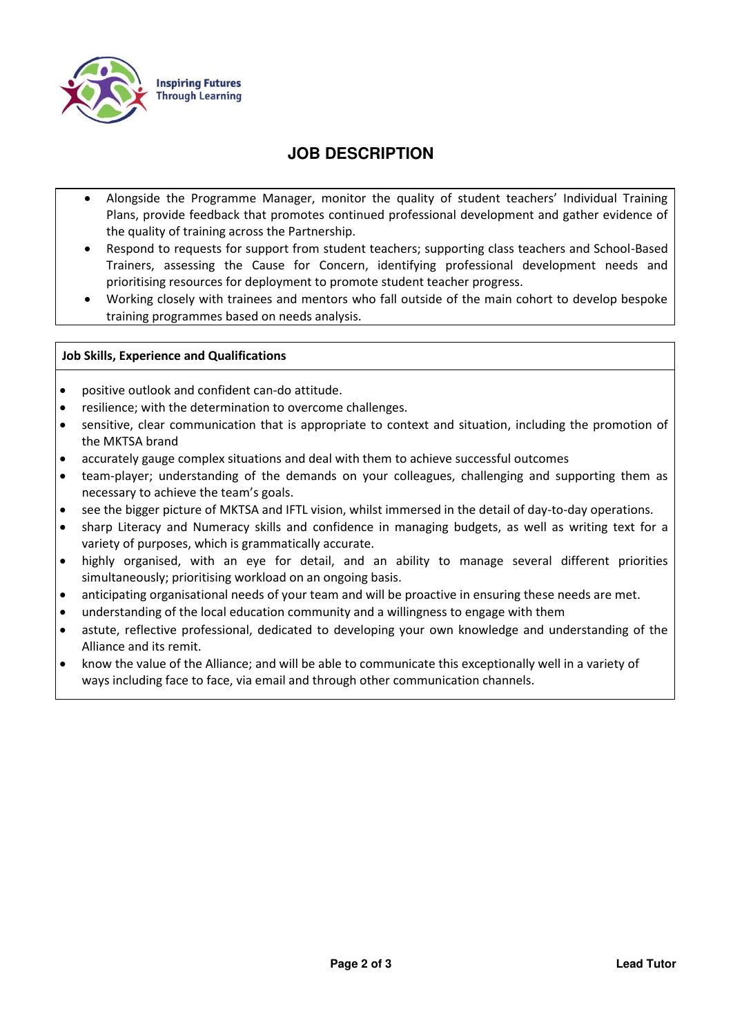

# **JOB DESCRIPTION**

- Alongside the Programme Manager, monitor the quality of student teachers' Individual Training Plans, provide feedback that promotes continued professional development and gather evidence of the quality of training across the Partnership.
- Respond to requests for support from student teachers; supporting class teachers and School-Based Trainers, assessing the Cause for Concern, identifying professional development needs and prioritising resources for deployment to promote student teacher progress.
- Working closely with trainees and mentors who fall outside of the main cohort to develop bespoke training programmes based on needs analysis.

## **Job Skills, Experience and Qualifications**

- positive outlook and confident can-do attitude.
- resilience; with the determination to overcome challenges.
- sensitive, clear communication that is appropriate to context and situation, including the promotion of the MKTSA brand
- accurately gauge complex situations and deal with them to achieve successful outcomes
- team-player; understanding of the demands on your colleagues, challenging and supporting them as necessary to achieve the team's goals.
- see the bigger picture of MKTSA and IFTL vision, whilst immersed in the detail of day-to-day operations.
- sharp Literacy and Numeracy skills and confidence in managing budgets, as well as writing text for a variety of purposes, which is grammatically accurate.
- highly organised, with an eye for detail, and an ability to manage several different priorities simultaneously; prioritising workload on an ongoing basis.
- anticipating organisational needs of your team and will be proactive in ensuring these needs are met.
- understanding of the local education community and a willingness to engage with them
- astute, reflective professional, dedicated to developing your own knowledge and understanding of the Alliance and its remit.
- know the value of the Alliance; and will be able to communicate this exceptionally well in a variety of ways including face to face, via email and through other communication channels.